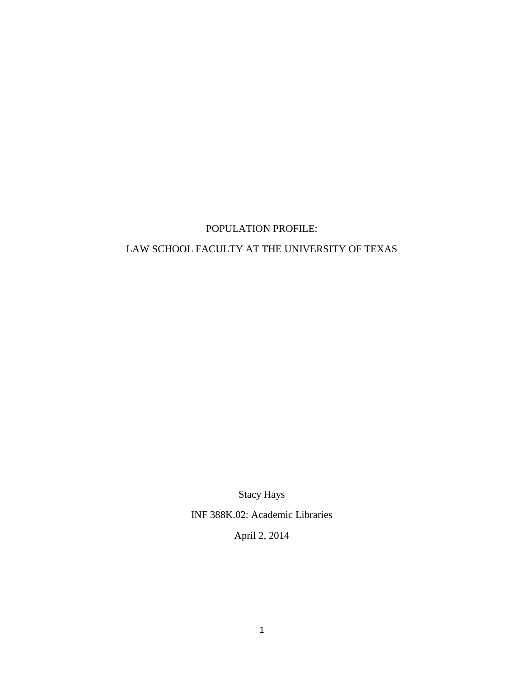## POPULATION PROFILE:

## LAW SCHOOL FACULTY AT THE UNIVERSITY OF TEXAS

Stacy Hays

INF 388K.02: Academic Libraries

April 2, 2014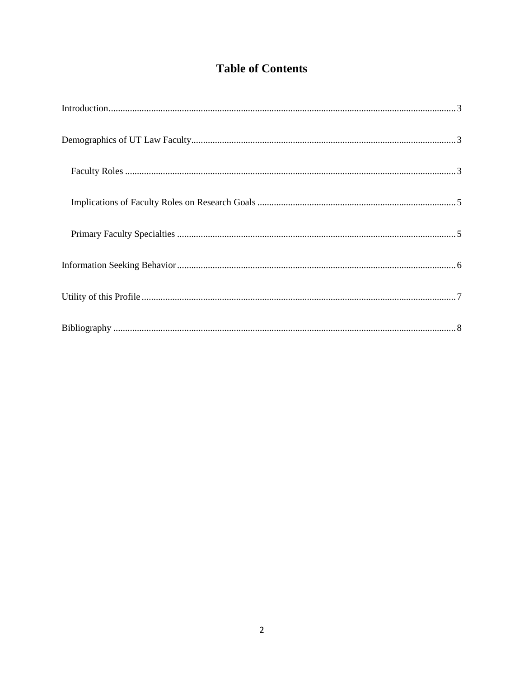# **Table of Contents**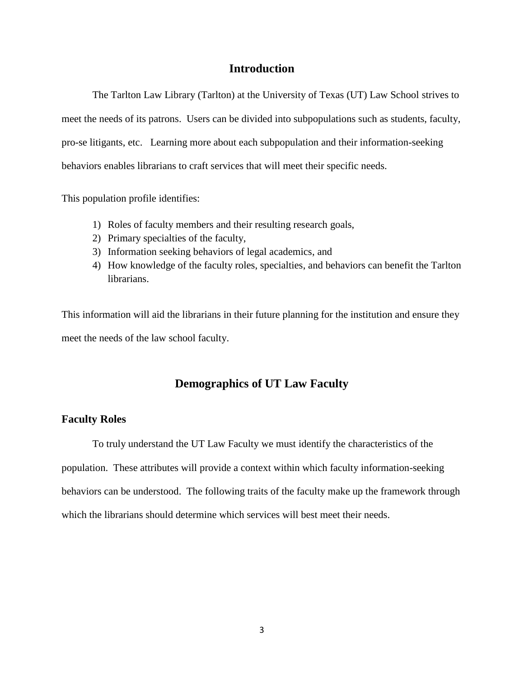#### **Introduction**

<span id="page-2-0"></span>The Tarlton Law Library (Tarlton) at the University of Texas (UT) Law School strives to meet the needs of its patrons. Users can be divided into subpopulations such as students, faculty, pro-se litigants, etc. Learning more about each subpopulation and their information-seeking behaviors enables librarians to craft services that will meet their specific needs.

This population profile identifies:

- 1) Roles of faculty members and their resulting research goals,
- 2) Primary specialties of the faculty,
- 3) Information seeking behaviors of legal academics, and
- 4) How knowledge of the faculty roles, specialties, and behaviors can benefit the Tarlton librarians.

This information will aid the librarians in their future planning for the institution and ensure they meet the needs of the law school faculty.

## **Demographics of UT Law Faculty**

#### <span id="page-2-2"></span><span id="page-2-1"></span>**Faculty Roles**

To truly understand the UT Law Faculty we must identify the characteristics of the population. These attributes will provide a context within which faculty information-seeking behaviors can be understood. The following traits of the faculty make up the framework through which the librarians should determine which services will best meet their needs.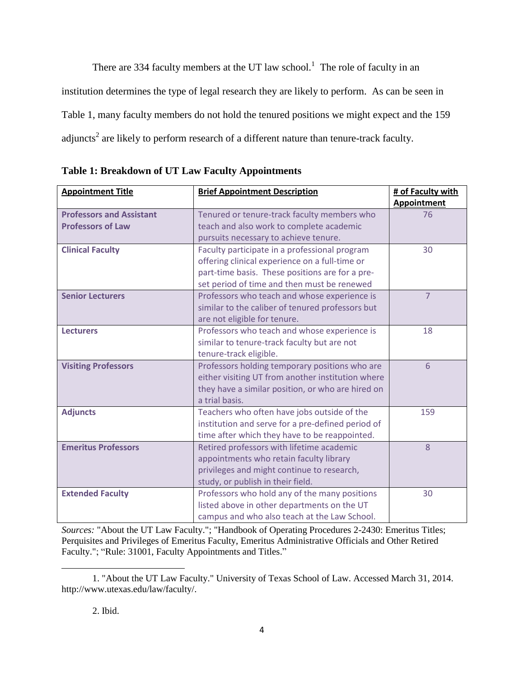There are 334 faculty members at the UT law school.<sup>1</sup> The role of faculty in an institution determines the type of legal research they are likely to perform. As can be seen in Table 1, many faculty members do not hold the tenured positions we might expect and the 159 adjuncts<sup>2</sup> are likely to perform research of a different nature than tenure-track faculty.

| <b>Appointment Title</b>        | <b>Brief Appointment Description</b>              | # of Faculty with  |
|---------------------------------|---------------------------------------------------|--------------------|
|                                 |                                                   | <b>Appointment</b> |
| <b>Professors and Assistant</b> | Tenured or tenure-track faculty members who       | 76                 |
| <b>Professors of Law</b>        | teach and also work to complete academic          |                    |
|                                 | pursuits necessary to achieve tenure.             |                    |
| <b>Clinical Faculty</b>         | Faculty participate in a professional program     | 30                 |
|                                 | offering clinical experience on a full-time or    |                    |
|                                 | part-time basis. These positions are for a pre-   |                    |
|                                 | set period of time and then must be renewed       |                    |
| <b>Senior Lecturers</b>         | Professors who teach and whose experience is      | $\overline{7}$     |
|                                 | similar to the caliber of tenured professors but  |                    |
|                                 | are not eligible for tenure.                      |                    |
| <b>Lecturers</b>                | Professors who teach and whose experience is      | 18                 |
|                                 | similar to tenure-track faculty but are not       |                    |
|                                 | tenure-track eligible.                            |                    |
| <b>Visiting Professors</b>      | Professors holding temporary positions who are    | 6                  |
|                                 | either visiting UT from another institution where |                    |
|                                 | they have a similar position, or who are hired on |                    |
|                                 | a trial basis.                                    |                    |
| <b>Adjuncts</b>                 | Teachers who often have jobs outside of the       | 159                |
|                                 | institution and serve for a pre-defined period of |                    |
|                                 | time after which they have to be reappointed.     |                    |
| <b>Emeritus Professors</b>      | Retired professors with lifetime academic         | 8                  |
|                                 | appointments who retain faculty library           |                    |
|                                 | privileges and might continue to research,        |                    |
|                                 | study, or publish in their field.                 |                    |
| <b>Extended Faculty</b>         | Professors who hold any of the many positions     | 30                 |
|                                 | listed above in other departments on the UT       |                    |
|                                 | campus and who also teach at the Law School.      |                    |

**Table 1: Breakdown of UT Law Faculty Appointments**

*Sources:* "About the UT Law Faculty."; "Handbook of Operating Procedures 2-2430: Emeritus Titles; Perquisites and Privileges of Emeritus Faculty, Emeritus Administrative Officials and Other Retired Faculty."; "Rule: 31001, Faculty Appointments and Titles."

l

<sup>1. &</sup>quot;About the UT Law Faculty." University of Texas School of Law. Accessed March 31, 2014. http://www.utexas.edu/law/faculty/.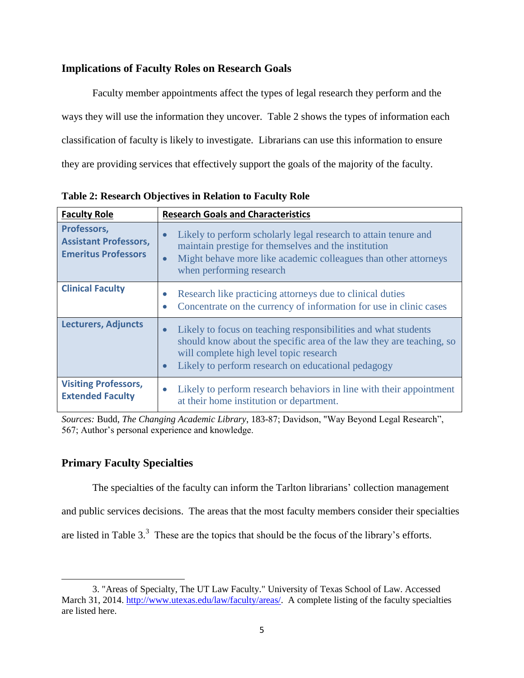#### <span id="page-4-0"></span>**Implications of Faculty Roles on Research Goals**

Faculty member appointments affect the types of legal research they perform and the ways they will use the information they uncover. Table 2 shows the types of information each classification of faculty is likely to investigate. Librarians can use this information to ensure they are providing services that effectively support the goals of the majority of the faculty.

| <b>Faculty Role</b>                                                       | <b>Research Goals and Characteristics</b>                                                                                                                                                                                                                         |  |
|---------------------------------------------------------------------------|-------------------------------------------------------------------------------------------------------------------------------------------------------------------------------------------------------------------------------------------------------------------|--|
| Professors,<br><b>Assistant Professors,</b><br><b>Emeritus Professors</b> | Likely to perform scholarly legal research to attain tenure and<br>maintain prestige for themselves and the institution<br>Might behave more like academic colleagues than other attorneys<br>$\bullet$<br>when performing research                               |  |
| <b>Clinical Faculty</b>                                                   | Research like practicing attorneys due to clinical duties<br>Concentrate on the currency of information for use in clinic cases<br>$\bullet$                                                                                                                      |  |
| <b>Lecturers, Adjuncts</b>                                                | Likely to focus on teaching responsibilities and what students<br>$\bullet$<br>should know about the specific area of the law they are teaching, so<br>will complete high level topic research<br>Likely to perform research on educational pedagogy<br>$\bullet$ |  |
| <b>Visiting Professors,</b><br><b>Extended Faculty</b>                    | Likely to perform research behaviors in line with their appointment<br>$\bullet$<br>at their home institution or department.                                                                                                                                      |  |

**Table 2: Research Objectives in Relation to Faculty Role**

*Sources:* Budd, *The Changing Academic Library*, 183-87; Davidson, "Way Beyond Legal Research", 567; Author's personal experience and knowledge.

#### <span id="page-4-1"></span>**Primary Faculty Specialties**

 $\overline{a}$ 

The specialties of the faculty can inform the Tarlton librarians' collection management

and public services decisions. The areas that the most faculty members consider their specialties

are listed in Table  $3<sup>3</sup>$ . These are the topics that should be the focus of the library's efforts.

<sup>3. &</sup>quot;Areas of Specialty, The UT Law Faculty." University of Texas School of Law. Accessed March 31, 2014. [http://www.utexas.edu/law/faculty/areas/.](http://www.utexas.edu/law/faculty/areas/) A complete listing of the faculty specialties are listed here.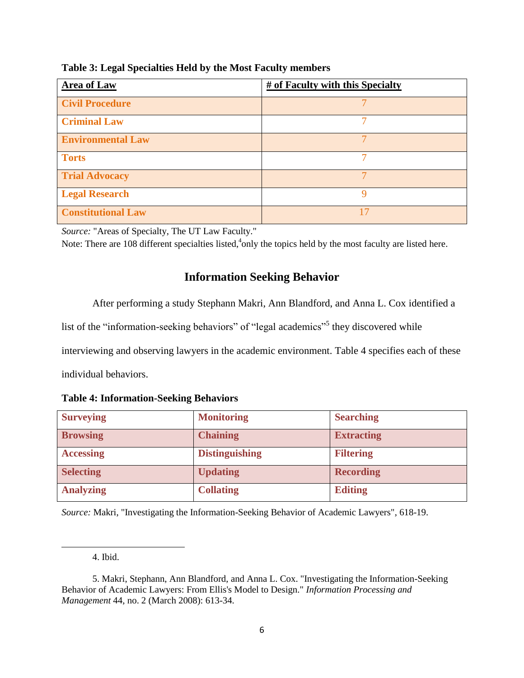| <b>Area of Law</b>        | # of Faculty with this Specialty |
|---------------------------|----------------------------------|
| <b>Civil Procedure</b>    |                                  |
| <b>Criminal Law</b>       |                                  |
| <b>Environmental Law</b>  |                                  |
| <b>Torts</b>              |                                  |
| <b>Trial Advocacy</b>     |                                  |
| <b>Legal Research</b>     | Q                                |
| <b>Constitutional Law</b> |                                  |

**Table 3: Legal Specialties Held by the Most Faculty members**

*Source:* "Areas of Specialty, The UT Law Faculty."

<span id="page-5-0"></span>Note: There are 108 different specialties listed, <sup>4</sup>only the topics held by the most faculty are listed here.

## **Information Seeking Behavior**

After performing a study Stephann Makri, Ann Blandford, and Anna L. Cox identified a

list of the "information-seeking behaviors" of "legal academics"<sup>5</sup> they discovered while

interviewing and observing lawyers in the academic environment. Table 4 specifies each of these

individual behaviors.

| <b>Surveying</b> | <b>Monitoring</b>     | <b>Searching</b>  |
|------------------|-----------------------|-------------------|
| <b>Browsing</b>  | <b>Chaining</b>       | <b>Extracting</b> |
| <b>Accessing</b> | <b>Distinguishing</b> | <b>Filtering</b>  |
| <b>Selecting</b> | <b>Updating</b>       | <b>Recording</b>  |
| <b>Analyzing</b> | <b>Collating</b>      | <b>Editing</b>    |

*Source:* Makri, "Investigating the Information-Seeking Behavior of Academic Lawyers", 618-19.

 $\overline{a}$ 

<sup>4.</sup> Ibid.

<sup>5.</sup> Makri, Stephann, Ann Blandford, and Anna L. Cox. "Investigating the Information-Seeking Behavior of Academic Lawyers: From Ellis's Model to Design." *Information Processing and Management* 44, no. 2 (March 2008): 613-34.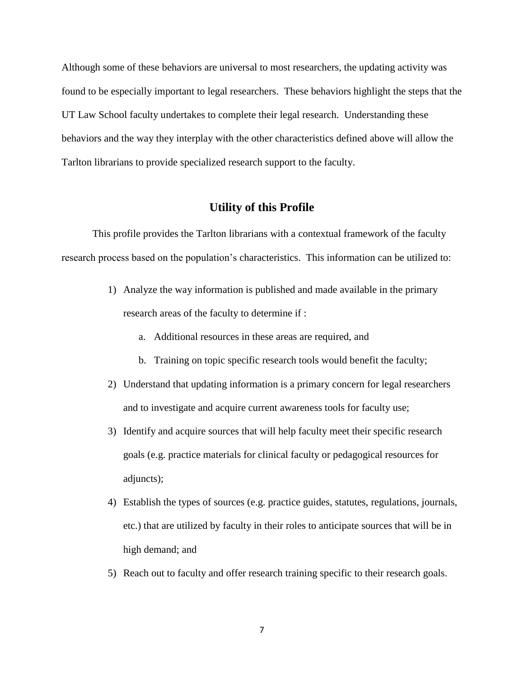Although some of these behaviors are universal to most researchers, the updating activity was found to be especially important to legal researchers. These behaviors highlight the steps that the UT Law School faculty undertakes to complete their legal research. Understanding these behaviors and the way they interplay with the other characteristics defined above will allow the Tarlton librarians to provide specialized research support to the faculty.

## **Utility of this Profile**

<span id="page-6-0"></span>This profile provides the Tarlton librarians with a contextual framework of the faculty research process based on the population's characteristics. This information can be utilized to:

- 1) Analyze the way information is published and made available in the primary research areas of the faculty to determine if :
	- a. Additional resources in these areas are required, and
	- b. Training on topic specific research tools would benefit the faculty;
- 2) Understand that updating information is a primary concern for legal researchers and to investigate and acquire current awareness tools for faculty use;
- 3) Identify and acquire sources that will help faculty meet their specific research goals (e.g. practice materials for clinical faculty or pedagogical resources for adjuncts);
- 4) Establish the types of sources (e.g. practice guides, statutes, regulations, journals, etc.) that are utilized by faculty in their roles to anticipate sources that will be in high demand; and
- 5) Reach out to faculty and offer research training specific to their research goals.

7